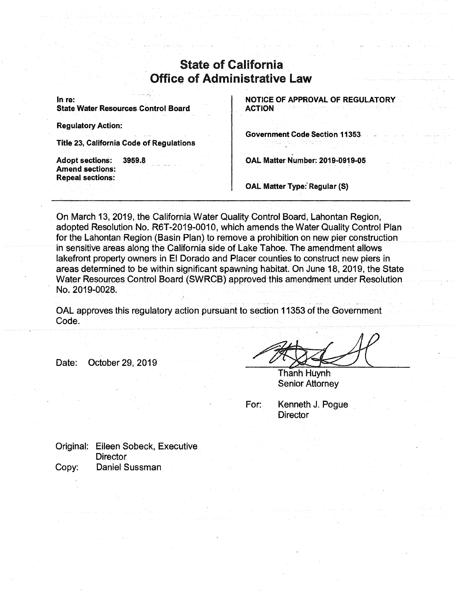## State of California Office of Administrative Law

In re: **State Water Resources Control Board** 

**Regulatory Action:** 

**Title 23, California Code of Regulations** 

**Adopt sections: 3959.8 Amend sections: Repeal sections:** 

**NOTICE OF APPROVAL OF REGULATORY ACTION** 

**Government Code Section 11353** 

**OAL Matter Number: 2019-0919-05** 

**OAL Matter Type: Regular (S)** 

,

On March 13, 2019, the California,Water Quality Control Board, Lahontan Region, adopted Resolution No. R6T-2019-0010, which amends the Water Quality Control Plan for the Lahontan Region (Basin Plan) to remove a prohibition on new pier construction in sensitive areas along the California side of Lake Tahoe. The amendment allows lakefront property owners in El Dorado and Placer counties to construct new piers in areas determined to be within significant spawning habitat. On June 18, 2019, the State Water Resources Control Board (SWRCB) approved this amendment under Resolution No. 2019-0028.

OAL approves this regulatory action pursuant to section 11353 of the Government Code.

Date: October 29, 2019

Thanh Huynh Senior Attorney

For: Kenneth J. Pogue **Director** 

Original: Eileen Sobeck, Executive **Director** Copy: Daniel Sussman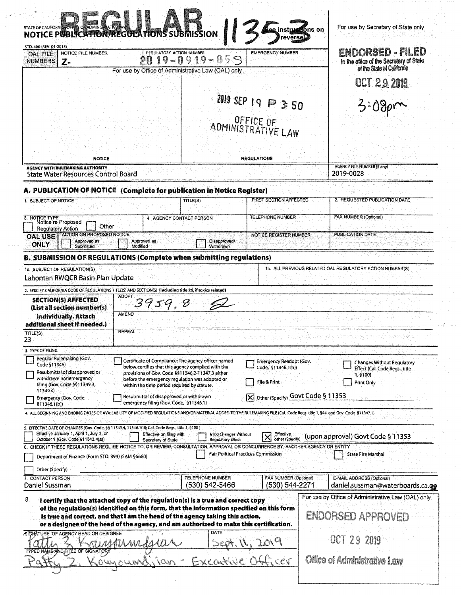| STD, 400 (REV. 01-2013)<br>NOTICE FILE NUMBER<br><b>OAL FILE</b>                                                                                                                                                                                                                                                                                                                                                                                                                                                                                                            | NOTICE PUBLICATION REGULATIONS SUBMISSION   | REGULATORY ACTION NUMBER                                                                               | <b>EMERGENCY NUMBER</b>                                                             | ENDORSED - FILED                                                      |
|-----------------------------------------------------------------------------------------------------------------------------------------------------------------------------------------------------------------------------------------------------------------------------------------------------------------------------------------------------------------------------------------------------------------------------------------------------------------------------------------------------------------------------------------------------------------------------|---------------------------------------------|--------------------------------------------------------------------------------------------------------|-------------------------------------------------------------------------------------|-----------------------------------------------------------------------|
| <b>NUMBERS</b><br>Z-                                                                                                                                                                                                                                                                                                                                                                                                                                                                                                                                                        |                                             | $19 - 0919 - 0$<br>$\mathcal{D}$                                                                       | B                                                                                   | in the office of the Secretary of State<br>of the State of California |
|                                                                                                                                                                                                                                                                                                                                                                                                                                                                                                                                                                             |                                             | For use by Office of Administrative Law (OAL) only                                                     |                                                                                     |                                                                       |
|                                                                                                                                                                                                                                                                                                                                                                                                                                                                                                                                                                             |                                             |                                                                                                        |                                                                                     | <b>OCT 2.9 2019</b>                                                   |
|                                                                                                                                                                                                                                                                                                                                                                                                                                                                                                                                                                             |                                             |                                                                                                        | ZOI9 SEP 19 P 3:50                                                                  |                                                                       |
|                                                                                                                                                                                                                                                                                                                                                                                                                                                                                                                                                                             |                                             |                                                                                                        |                                                                                     |                                                                       |
|                                                                                                                                                                                                                                                                                                                                                                                                                                                                                                                                                                             |                                             |                                                                                                        | ADMINISTRATIVE LAW                                                                  |                                                                       |
|                                                                                                                                                                                                                                                                                                                                                                                                                                                                                                                                                                             |                                             |                                                                                                        |                                                                                     |                                                                       |
|                                                                                                                                                                                                                                                                                                                                                                                                                                                                                                                                                                             |                                             |                                                                                                        |                                                                                     |                                                                       |
| <b>NOTICE</b>                                                                                                                                                                                                                                                                                                                                                                                                                                                                                                                                                               |                                             |                                                                                                        | <b>REGULATIONS</b>                                                                  | <b>AGENCY FILE NUMBER (If any)</b>                                    |
| <b>AGENCY WITH RULEMAKING AUTHORITY</b><br><b>State Water Resources Control Board</b>                                                                                                                                                                                                                                                                                                                                                                                                                                                                                       |                                             |                                                                                                        |                                                                                     | 2019-0028                                                             |
| A. PUBLICATION OF NOTICE (Complete for publication in Notice Register)                                                                                                                                                                                                                                                                                                                                                                                                                                                                                                      |                                             |                                                                                                        |                                                                                     |                                                                       |
| 1. SUBJECT OF NOTICE                                                                                                                                                                                                                                                                                                                                                                                                                                                                                                                                                        |                                             | TITLE(S)                                                                                               | <b>FIRST SECTION AFFECTED</b>                                                       | 2. REQUESTED PUBLICATION DATE                                         |
| 3. NOTICE TYPE                                                                                                                                                                                                                                                                                                                                                                                                                                                                                                                                                              |                                             |                                                                                                        | <b>TELEPHONE NUMBER</b>                                                             | FAX NUMBER (Optional)                                                 |
| Notice re Proposed<br>Other<br><b>Regulatory Action</b>                                                                                                                                                                                                                                                                                                                                                                                                                                                                                                                     |                                             | 4. AGENCY CONTACT PERSON                                                                               |                                                                                     |                                                                       |
| <b>ACTION ON PROPOSED NOTICE</b><br><b>OAL USE</b><br>Approved as                                                                                                                                                                                                                                                                                                                                                                                                                                                                                                           | Approved as                                 | Disapproved/                                                                                           | NOTICE REGISTER NUMBER                                                              | <b>PUBLICATION DATE</b>                                               |
| ONLY<br>Submitted                                                                                                                                                                                                                                                                                                                                                                                                                                                                                                                                                           | Modified                                    | Withdrawn                                                                                              |                                                                                     |                                                                       |
| B. SUBMISSION OF REGULATIONS (Complete when submitting regulations)                                                                                                                                                                                                                                                                                                                                                                                                                                                                                                         |                                             |                                                                                                        |                                                                                     |                                                                       |
| 1a. SUBJECT OF REGULATION(S)<br>Lahontan RWQCB Basin Plan Update                                                                                                                                                                                                                                                                                                                                                                                                                                                                                                            |                                             |                                                                                                        |                                                                                     | 1b. ALL PREVIOUS RELATED OAL REGULATORY ACTION NUMBER(S)              |
|                                                                                                                                                                                                                                                                                                                                                                                                                                                                                                                                                                             |                                             |                                                                                                        |                                                                                     |                                                                       |
|                                                                                                                                                                                                                                                                                                                                                                                                                                                                                                                                                                             |                                             |                                                                                                        |                                                                                     |                                                                       |
| 2. SPECIFY CALIFORNIA CODE OF REGULATIONS TITLE(S) AND SECTION(S) (Including title 26, if toxics related)<br><b>SECTION(S) AFFECTED</b>                                                                                                                                                                                                                                                                                                                                                                                                                                     | <b>ADOPT</b><br>3959,8                      |                                                                                                        |                                                                                     |                                                                       |
| (List all section number(s)<br>individually. Attach                                                                                                                                                                                                                                                                                                                                                                                                                                                                                                                         | <b>AMEND</b>                                |                                                                                                        |                                                                                     |                                                                       |
|                                                                                                                                                                                                                                                                                                                                                                                                                                                                                                                                                                             |                                             |                                                                                                        |                                                                                     |                                                                       |
|                                                                                                                                                                                                                                                                                                                                                                                                                                                                                                                                                                             | <b>REPEAL</b>                               |                                                                                                        |                                                                                     |                                                                       |
|                                                                                                                                                                                                                                                                                                                                                                                                                                                                                                                                                                             |                                             |                                                                                                        |                                                                                     |                                                                       |
| Regular Rulemaking (Gov.<br>Code §11346)                                                                                                                                                                                                                                                                                                                                                                                                                                                                                                                                    |                                             | Certificate of Compliance: The agency officer named                                                    | <b>Emergency Readopt (Gov.</b>                                                      | <b>Changes Without Regulatory</b>                                     |
| Resubmittal of disapproved or                                                                                                                                                                                                                                                                                                                                                                                                                                                                                                                                               |                                             | below certifies that this agency complied with the<br>provisions of Gov. Code 5511346.2-11347.3 either | Code, 511346.1(h))                                                                  | Effect (Cal. Code Regs., title<br>1,5100)                             |
| withdrawn nonemergency<br>filing (Gov. Code §§11349.3,                                                                                                                                                                                                                                                                                                                                                                                                                                                                                                                      | within the time period required by statute. | before the emergency regulation was adopted or                                                         | File & Print                                                                        | Print Only                                                            |
| 11349.4).<br>Emergency (Gov. Code,                                                                                                                                                                                                                                                                                                                                                                                                                                                                                                                                          | Resubmittal of disapproved or withdrawn     |                                                                                                        | X Other (Specify) GOVt Code § 11353                                                 |                                                                       |
| \$11346.1(b)                                                                                                                                                                                                                                                                                                                                                                                                                                                                                                                                                                | emergency filing (Gov. Code, 511346.1)      |                                                                                                        |                                                                                     |                                                                       |
|                                                                                                                                                                                                                                                                                                                                                                                                                                                                                                                                                                             |                                             |                                                                                                        |                                                                                     |                                                                       |
| Effective January 1, April 1, July 1, or                                                                                                                                                                                                                                                                                                                                                                                                                                                                                                                                    | Effective on filing with                    | §100 Changes Without                                                                                   | Effective                                                                           |                                                                       |
| October 1 (Gov. Code §11343.4(a))                                                                                                                                                                                                                                                                                                                                                                                                                                                                                                                                           | Secretary of State                          | <b>Regulatory Effect</b>                                                                               | $\times$<br>other (Specify)<br>APPROVAL OR CONCURRENCE BY, ANOTHER AGENCY OR ENTITY | (upon approval) Govt Code § 11353                                     |
| Department of Finance (Form STD. 399) (SAM §6660)                                                                                                                                                                                                                                                                                                                                                                                                                                                                                                                           |                                             |                                                                                                        | <b>Fair Political Practices Commission</b>                                          | <b>State Fire Marshal</b>                                             |
| Other (Specify)                                                                                                                                                                                                                                                                                                                                                                                                                                                                                                                                                             |                                             |                                                                                                        |                                                                                     |                                                                       |
|                                                                                                                                                                                                                                                                                                                                                                                                                                                                                                                                                                             |                                             | <b>TELEPHONE NUMBER</b>                                                                                | <b>FAX NUMBER (Optional)</b>                                                        | E-MAIL ADDRESS (Optional)                                             |
|                                                                                                                                                                                                                                                                                                                                                                                                                                                                                                                                                                             |                                             | (530) 542-5466                                                                                         | (530) 544-2271                                                                      | daniel.sussman@waterboards.ca.ge                                      |
| I certify that the attached copy of the regulation(s) is a true and correct copy<br>of the regulation(s) identified on this form, that the information specified on this form<br>is true and correct, and that I am the head of the agency taking this action,                                                                                                                                                                                                                                                                                                              |                                             |                                                                                                        |                                                                                     | <b>ENDORSED APPROVED</b>                                              |
| additional sheet if needed.)<br>TITLE(S)<br>23<br>3. TYPE OF FILING<br>4. ALL BEGINNING AND ENDING DATES OF AVAILABILITY OF MODIFIED REGULATIONS AND/OR MATERIAL ADDED TO THE RULEMAKING FILE (Cal. Code Regs. title 1, 544 and Gov. Code 511347.1)<br>5. EFFECTIVE DATE OF CHANGES (Gov. Code, 65 11343.4, 11346.1(d); Cal. Code Regs., title 1, 5100)<br>6. CHECK IF THESE REGULATIONS REQUIRE NOTICE TO, OR REVIEW, CONSULTATION,<br>7. CONTACT PERSON<br>Daniel Sussman<br>8.<br>or a designee of the head of the agency, and am authorized to make this certification. |                                             | DATE                                                                                                   |                                                                                     | For use by Office of Administrative Law (OAL) only                    |
| SIGNATURE OF AGENCY HEAD OR DESIGNEE<br>TYPED NAME AND TITLE OF SIGNATO                                                                                                                                                                                                                                                                                                                                                                                                                                                                                                     |                                             |                                                                                                        |                                                                                     | OCT 29<br>2019<br>Office of Administrative Law                        |